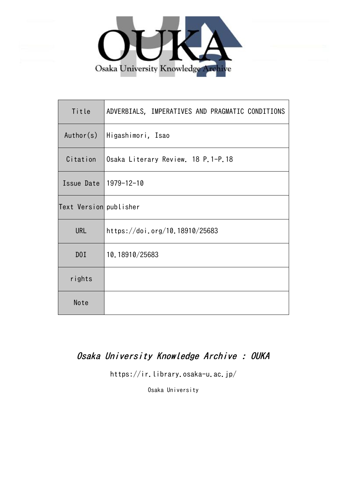

| Title                  | ADVERBIALS, IMPERATIVES AND PRAGMATIC CONDITIONS |  |  |  |  |  |  |  |  |
|------------------------|--------------------------------------------------|--|--|--|--|--|--|--|--|
| Author(s)              | Higashimori, Isao                                |  |  |  |  |  |  |  |  |
| Citation               | Osaka Literary Review 18 P.1-P.18                |  |  |  |  |  |  |  |  |
| Issue Date 1979-12-10  |                                                  |  |  |  |  |  |  |  |  |
| Text Version publisher |                                                  |  |  |  |  |  |  |  |  |
| <b>URL</b>             | https://doi.org/10.18910/25683                   |  |  |  |  |  |  |  |  |
| DOI                    | 10.18910/25683                                   |  |  |  |  |  |  |  |  |
| rights                 |                                                  |  |  |  |  |  |  |  |  |
| Note                   |                                                  |  |  |  |  |  |  |  |  |

# Osaka University Knowledge Archive : OUKA

https://ir.library.osaka-u.ac.jp/

Osaka University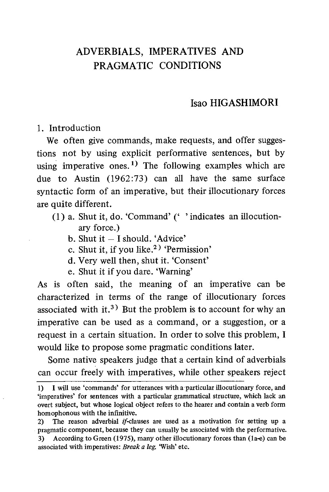## Isao HIGASHIMORI

1. Introduction

We often give commands, make requests, and offer suggestions not by using explicit performative sentences, but by using imperative ones.<sup>1)</sup> The following examples which are due to Austin (1962:73) can all have the same surface syntactic form of an imperative, but their illocutionary forces are quite different.

- $(1)$  a. Shut it, do. 'Command' ( $'$  indicates an illocutionary force.)
	- b. Shut it I should. 'Advice'
	- c. Shut it, if you like.<sup>2)</sup> 'Permission'
	- d. Very well then, shut it. 'Consent'
	- e. Shut it if you dare. 'Warning'

As is often said, the meaning of an imperative can be characterized in terms of the range of illocutionary forces associated with it.<sup>3)</sup> But the problem is to account for why an imperative can be used as a command, or a suggestion, or a request in a certain situation. In order to solve this problem, I would like to propose some pragmatic conditions later.

Some native speakers judge that a certain kind of adverbials can occur freely with imperatives, while other speakers reject

<sup>1)</sup> I will use `commands' for utterances with a particular illocutionary force, and 'imperatives' for sentences with a particular grammatical structure, which lack an overt subject, but whose logical object refers to the hearer and contain a verb form homophonous with the infinitive.

<sup>2)</sup> The reason adverbial  $if$ -clauses are used as a motivation for setting up a pragmatic component, because they can usually be associated with the performative. 3) According to Green (1975), many other illocutionary forces than (la-e) can be associated with imperatives: Break a leg. 'Wish' etc.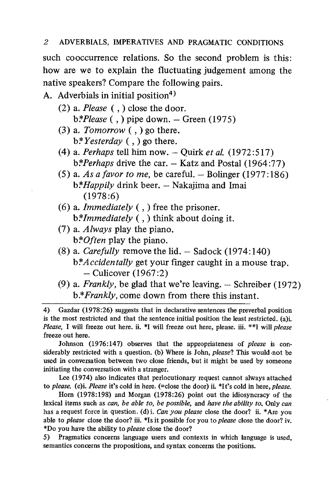such cooccurrence relations. So the second problem is this: how are we to explain the fluctuating judgement among the native speakers? Compare the following pairs.

A. Adverbials in initial position<sup>4)</sup>

- (2) a. Please  $($ ,  $)$  close the door.  $b*Please$  (,) pipe down. – Green (1975)
- (3) a. Tomorrow  $($ ,  $)$  go there.  $b$ <sup>\*</sup>*Yesterday*  $($ ,  $)$  go there.
- (4) a. Perhaps tell him now.  $-$  Quirk et al. (1972:517)  $b*Perhaps$  drive the car.  $-$  Katz and Postal (1964:77)
- (5) a. As a favor to me, be careful.  $-$  Bolinger (1977:186)  $b*Happily$  drink beer.  $-$  Nakajima and Imai  $(1978:6)$
- (6) a. *Immediately*  $($ ,  $)$  free the prisoner.  $b$ *\*Immediately* (, ) think about doing it.
- (7) a. Always play the piano. b: *Often* play the piano.
- (8) a. Carefully remove the lid. Sadock (1974:140) b:\**Accidentally* get your finger caught in a mouse trap. — Culicover (1967:2)
- (9) a. Frankly, be glad that we're leaving. Schreiber (1972) b.\*Frankly, come down from there this instant.

4) Gazdar (1978:26) suggests that in declarative sentences the preverbal position is the most restricted and that the sentence initial position the least restricted. (a)i. Please, I will freeze out here. ii. \*I will freeze out here, please. iii. \*\*I will please freeze out here.

Johnson (1976:147) observes that the appropriateness of please is considerably restricted with a question. (b) Where is John, *please*? This would not be used in conversation between two close friends, but it might be used by someone initiating the conversation with a stranger.

Lee (1974) also indicates that perlocutionary request cannot always attached to please. (c)i. Please it's cold in here. (=close the door) ii. \*It's cold in here, please.

Horn (1978:198) and Morgan (1978:26) point out the idiosyncracy of the lexical items such as can, be able to, be possible, and have the ability to. Only can has a request force in question. (d) i. Can you please close the door? ii. \*Are you able to please close the door? iii. \*Is it possible for you to please close the door? iv. \*Do you have the ability to please close the door?

5) Pragmatics concerns language users and contexts in which language is used, semantics concerns the propositions, and syntax concerns the positions.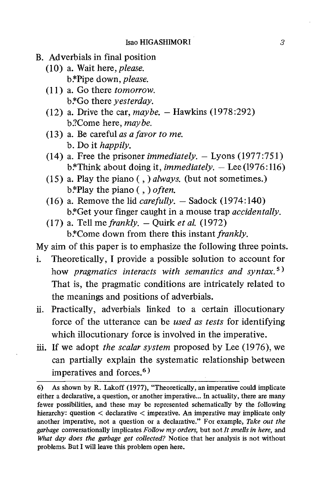- B. Adverbials in final position
	- (10) a. Wait here, please. b.\*Pipe down, *please*.
	- (11) a. Go there tomorrow. b.\*Go there *yesterday*.
	- (12) a. Drive the car,  $m \alpha \nu b e$ . Hawkins (1978:292) b.?Come here, may be.
	- (13) a. Be careful as a favor to me. b. Do it happily.
	- (14) a. Free the prisoner *immediately.*  $-$  Lyons (1977:751) b.\*Think about doing it, *immediately*.  $-$  Lee (1976:116)
	- (15) a. Play the piano (, ) always. (but not sometimes.)  $b$ <sup>\*</sup>Play the piano (, ) *often*.
	- (16) a. Remove the lid *carefully*.  $-$  Sadock (1974:140) b:\*Get your finger caught in a mouse trap *accidentally*.
	- (17) a. Tell me frankly.  $-$  Ouirk et al. (1972) b.\*Come down from there this instant frankly.
- My aim of this paper is to emphasize the following three points.
- i. Theoretically, I provide a possible solution to account for how pragmatics interacts with semantics and syntax.<sup>5)</sup> That is, the pragmatic conditions are intricately related to the meanings and positions of adverbials.
- ii. Practically, adverbials linked to a certain illocutionary force of the utterance can be used as tests for identifying which illocutionary force is involved in the imperative.
- iii. If we adopt the scalar system proposed by Lee (1976), we can partially explain the systematic relationship between imperatives and forces. $6$ )

<sup>6)</sup> As shown by R. Lakoff (1977), "Theoretically, an imperative could implicate either a declarative, a question, or another imperative... In actuality, there are many fewer possibilities, and these may be represented schematically by the following hierarchy: question < declarative < imperative. An imperative may implicate only another imperative, not a question or a declarative." For example, Take out the garbage conversationally implicates Follow  $mv$  orders, but not It smells in here, and What day does the garbage get collected? Notice that her analysis is not without problems. But I will leave this problem open here.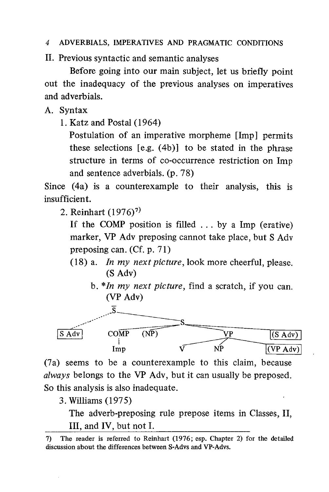II. Previous syntactic and semantic analyses

Before going into our main subject, let us briefly point out the inadequacy of the previous analyses on imperatives and adverbials.

A. Syntax

1. Katz and Postal (1964)

Postulation of an imperative morpheme [Imp] permits these selections [e.g. (4b)] to be stated in the phrase structure in terms of co-occurrence restriction on Imp and sentence adverbials. (p. 78)

Since (4a) is a counterexample to their analysis, this is insufficient.

2. Reinhart  $(1976)^7$ 

If the COMP position is filled  $\ldots$  by a Imp (erative) marker, VP Adv preposing cannot take place, but S Adv preposing can. (Cf. p. 71)

- (18) a. In my next picture, look more cheerful, please. (S Adv)
	- b.  $*In$  my next picture, find a scratch, if you can. (VP Adv)



(7a) seems to be a counterexample to this claim, because *always* belongs to the VP Adv, but it can usually be preposed. So this analysis is also inadequate.

3. Williams (1975)

The adverb-preposing rule prepose items in Classes, II, III, and IV, but not I.

<sup>7)</sup> The reader is referred to Reinhart (1976; esp. Chapter 2) for the detailed discussion about the differences between S-Advs and VP-Advs.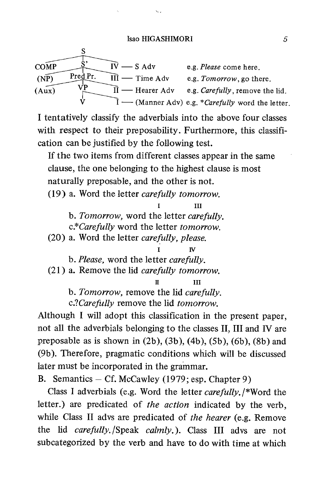#### Isao HIGASHIMORI 5

| <b>COMP</b> |          | — S Adv                        | e.g. <i>Please</i> come here.                               |
|-------------|----------|--------------------------------|-------------------------------------------------------------|
| (NP)        | Pred Pr. | $III \longrightarrow Time Adv$ | e.g. Tomorrow, go there.                                    |
| (Aux)       |          | — Hearer Adv                   | e.g. <i>Carefully</i> , remove the lid.                     |
|             |          |                                | $\tilde{I}$ — (Manner Adv) e.g. *Carefully word the letter. |

I tentatively classify the adverbials into the above four classes with respect to their preposability. Furthermore, this classification can be justified by the following test.

If the two items from different classes appear in the same clause, the one belonging to the highest clause is most naturally preposable, and the other is not.

(19) a. Word the letter carefully tomorrow.

 I III b. Tomorrow, word the letter carefully. c.\*Carefully word the letter tomorrow.

(20) a. Word the letter carefully, please.

 $\overline{\mathbf{v}}$ b. Please, word the letter carefully.

(21) a. Remove the lid carefully tomorrow.

II III

b. Tomorrow, remove the lid carefully.

c.?*Carefully* remove the lid *tomorrow*.

Although I will adopt this classification in the present paper, not all the adverbials belonging to the classes II, III and IV are preposable as is shown in  $(2b)$ ,  $(3b)$ ,  $(4b)$ ,  $(5b)$ ,  $(6b)$ ,  $(8b)$  and (9b). Therefore, pragmatic conditions which will be discussed later must be incorporated in the grammar.

B. Semantics — Cf. McCawley (1979; esp. Chapter 9)

Class I adverbials (e.g. Word the letter carefully. /\*Word the letter.) are predicated of the action indicated by the verb, while Class II advs are predicated of the hearer (e.g. Remove the lid *carefully*. /Speak *calmly*.). Class III advs are not subcategorized by the verb and have to do with time at which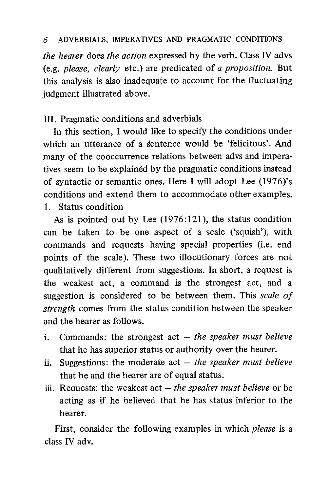the hearer does the action expressed by the verb. Class IV advs (e.g. please, clearly etc.) are predicated of a proposition. But this analysis is also inadequate to account for the fluctuating judgment illustrated above.

## III. Pragmatic conditions and adverbials

In this section, I would like to specify the conditions under which an utterance of a sentence would be 'felicitous'. And many of the cooccurrence relations between advs and imperatives seem to be explained by the pragmatic conditions instead of syntactic or semantic ones. Here I will adopt Lee (1976)'s conditions and extend them to accommodate other examples. 1. Status condition

As is pointed out by Lee (1976:121), the status condition can be taken to be one aspect of a scale (`squish'), with commands and requests having special properties (i.e. end points of the scale). These two illocutionary forces are not qualitatively different from suggestions. In short, a request is the weakest act, a command is the strongest act, and a suggestion is considered to be between them. This scale of strength comes from the status condition between the speaker and the hearer as follows.

- i. Commands: the strongest  $act the speaker must believe$ that he has superior status or authority over the hearer.
- ii. Suggestions: the moderate  $act the speaker must believe$ that he and the hearer are of equal status.
- iii. Requests: the weakest act  $-$  the speaker must believe or be acting as if he believed that he has status inferior to the hearer.

First, consider the following examples in which *please* is a class IV adv.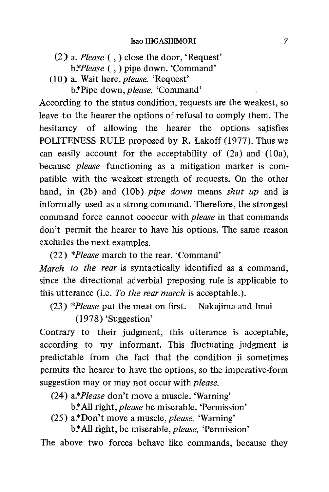- (2) a. Please ( ,) close the door, 'Request' b.\**Please* (, ) pipe down. 'Command'
- (10) a. Wait here, please. 'Request'

b.\*Pipe down, *please*. 'Command'

According to the status condition, requests are the weakest, so leave to the hearer the options of refusal to comply them. The hesitancy of allowing the hearer the options satisfies POLITENESS RULE proposed by R. Lakoff (1977). Thus we can easily account for the acceptability of (2a) and (10a), because please functioning as a mitigation marker is compatible with the weakest strength of requests. On the other hand, in  $(2b)$  and  $(10b)$  pipe down means shut up and is informally used as a strong command. Therefore, the strongest command force cannot cooccur with please in that commands don't permit the hearer to have his options. The same reason excludes the next examples.

(22) \*Please march to the rear. 'Command'

March to the rear is syntactically identified as a command, since the directional adverbial preposing rule is applicable to this utterance (i.e. To the rear march is acceptable.).

(23) \*Please put the meat on first.  $-$  Nakajima and Imai

(1978) 'Suggestion'

Contrary to their judgment, this utterance is acceptable, according to my informant. This fluctuating judgment is predictable from the fact that the condition ii sometimes permits the hearer to have the options, so the imperative-form suggestion may or may not occur with *please*.

(24) a.\*Please don't move a muscle. 'Warning'

b.\*All right, *please* be miserable. 'Permission'

(25) a.\*Don't move a muscle, please. 'Warning'

b.\*All right, be miserable, *please*. 'Permission'

The above two forces behave like commands, because they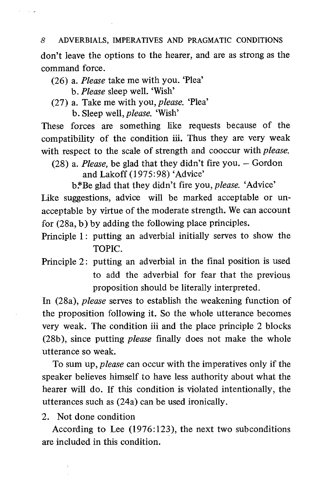don't leave the options to the hearer, and are as strong as the command force.

(26) a. Please take me with you. 'Plea' b. Please sleep well. 'Wish'

 $\epsilon = -1/\sqrt{p}$ 

(27) a. Take me with you, please. 'Plea' b. Sleep well, please. 'Wish'

These forces are something like requests because of the compatibility of the condition iii. Thus they are very weak with respect to the scale of strength and cooccur with *please*.

(28) a. Please, be glad that they didn't fire you. — Gordon and Lakoff (1975:98) 'Advice'

b.\*Be glad that they didn't fire you, *please*. 'Advice' Like suggestions, advice will be marked acceptable or unacceptable by virtue of the moderate strength. We can account for (28a, b) by adding the following place principles.

- Principle 1: putting an adverbial initially serves to show the TOPIC.
- Principle 2: putting an adverbial in the final position is used to add the adverbial for fear that the previous proposition should be literally interpreted.

In (28a), please serves to establish the weakening function of the proposition following it. So the whole utterance becomes very weak. The condition iii and the place principle 2 blocks (28b), since putting *please* finally does not make the whole utterance so weak.

To sum up, *please* can occur with the imperatives only if the speaker believes himself to have less authority about what the hearer will do. If this condition is violated intentionally, the utterances such as (24a) can be used ironically.

2. Not done condition

According to Lee (1976:123), the next two subconditions are included in this condition.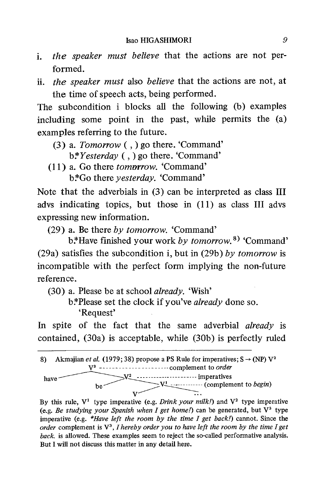- i. the speaker must believe that the actions are not performed.
- ii. the speaker must also believe that the actions are not, at the time of speech acts, being performed.

The subcondition i blocks all the following (b) examples including some point in the past, while permits the (a) examples referring to the future.

- (3) a. Tomorrow ( ,) go there. 'Command'  $b*Y$ *esterday*  $($ ,  $)$  go there. 'Command'
- (11) a. Go there tomorrow. 'Command' b:\*Go there *vesterday*. 'Command'

Note that the adverbials in (3) can be interpreted as class III advs indicating topics, but those in (11) as class III advs expressing new information.

(29) a. Be there by tomorrow. 'Command'

b.\*Have finished your work by tomorrow.<sup>8)</sup> 'Command' (29a) satisfies the subcondition i, but in (29b) by tomorrow is incompatible with the perfect form implying the non-future reference.

- (30) a. Please be at school already. 'Wish'
	- b.\*Please set the clock if you've already done so. `Request'

In spite of the fact that the same adverbial *already* is contained, (30a) is acceptable, while (30b) is perfectly ruled



By this rule,  $V^1$  type imperative (e.g. *Drink your milk!*) and  $V^2$  type imperative (e.g. Be studying your Spanish when I get home!) can be generated, but  $V^3$  type imperative (e.g.  $*Have \; left \; the \; room \; by \; the \; time \; I \; get \; back!)$  cannot. Since the order complement is  $V^3$ , I hereby order you to have left the room by the time I get back. is allowed. These examples seem to reject the so-called performative analysis. But I will not discuss this matter in any detail here.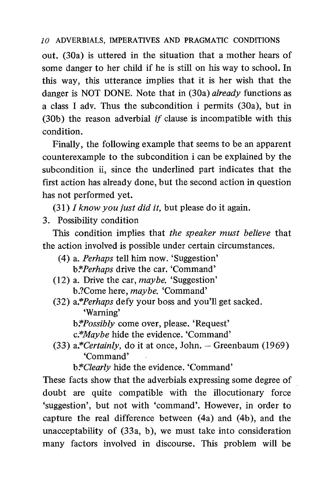out. (30a) is uttered in the situation that a mother hears of some danger to her child if he is still on his way to school. In this way, this utterance implies that it is her wish that the danger is NOT DONE. Note that in (30a) already functions as a class I adv. Thus the subcondition i permits (30a), but in (30b) the reason adverbial if clause is incompatible with this condition.

 Finally, the following example that seems to be an apparent counterexample to the subcondition i can be explained by the subcondition ii, since the underlined part indicates that the first action has already done, but the second action in question has not performed yet.

 $(31)$  I know you just did it, but please do it again.

3. Possibility condition

This condition implies that the speaker must believe that the action involved is possible under certain circumstances.

- (4) a. Perhaps tell him now. 'Suggestion' b.\*Perhaps drive the car. 'Command'
- (12) a. Drive the car, maybe. 'Suggestion' b.?Come here, maybe. 'Command'
- (32) a.\*Perhaps defy your boss and you'll get sacked. `Warning'
	- b.\**Possibly* come over, please. 'Request'
	- c.\*Maybe hide the evidence. 'Command'
- (33)  $a$ <sup>\*</sup>*Certainly*, do it at once, John. Greenbaum (1969) `Command'

b.\**Clearly* hide the evidence. 'Command'

These facts show that the adverbials expressing some degree of doubt are quite compatible with the illocutionary force 'suggestion', but not with 'command'. However, in order to capture the real difference between (4a) and (4b), and the unacceptability of (33a, b), we must take into consideration many factors involved in discourse. This problem will be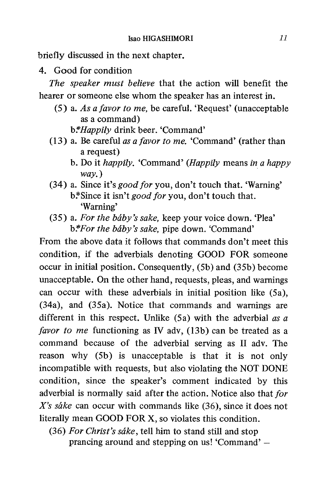briefly discussed in the next chapter.

4. Good for condition

The speaker must believe that the action will benefit the hearer or someone else whom the speaker has an interest in.

(5) a. As a favor to me, be careful. 'Request' (unacceptable as a command)

b.\**Happily* drink beer. 'Command'

- (13) a. Be careful as a favor to me. 'Command' (rather than a request)
	- b. Do it happily. 'Command' (Happily means in a happy way.)
- (34) a. Since it's good for you, don't touch that. 'Warning' b.\*Since it isn't good for you, don't touch that. `Warning'
- $(35)$  a. For the báby's sake, keep your voice down. 'Plea' b.\*For the baby's sake, pipe down. 'Command'

From the above data it follows that commands don't meet this condition, if the adverbials denoting GOOD FOR someone occur in initial position. Consequently, (5b) and (35b) become unacceptable. On the other hand, requests, pleas, and warnings can occur with these adverbials in initial position like (5a), (34a), and (35a). Notice that commands and warnings are different in this respect. Unlike  $(5a)$  with the adverbial as a favor to me functioning as IV adv, (13b) can be treated as a command because of the adverbial serving as II adv. The reason why (5b) is unacceptable is that it is not only incompatible with requests, but also violating the NOT DONE condition, since the speaker's comment indicated by this adverbial is normally said after the action. Notice also that for X's sake can occur with commands like  $(36)$ , since it does not literally mean GOOD FOR X, so violates this condition.

(36) For Christ's sake, tell him to stand still and stop prancing around and stepping on us! 'Command' —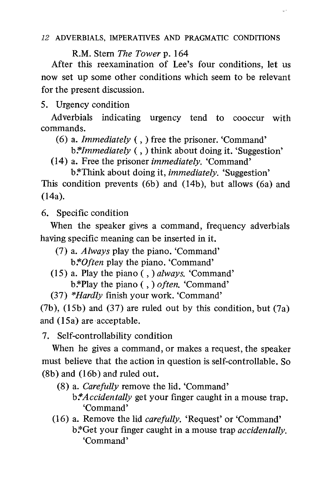u k

R.M. Stern The Tower p. 164

After this reexamination of Lee's four conditions, let us now set up some other conditions which seem to be relevant for the present discussion.

5. Urgency condition

Adverbials indicating urgency tend to cooccur with commands.

(6) a. Immediately ( ,) free the prisoner. 'Command'

 $b$ *\*Immediately* (, ) think about doing it. 'Suggestion'

(14) a. Free the prisoner immediately. 'Command'

b.\*Think about doing it, *immediately*. 'Suggestion' This condition prevents (6b) and (14b), but allows (6a) and (14a).

6. Specific condition

When the speaker gives a command, frequency adverbials having specific meaning can be inserted in it.

- (7) a. Always play the piano. 'Command' b: *Often* play the piano. 'Command'
- (15) a. Play the piano ( , ) always. 'Command' b.\*Play the piano (, ) often. 'Command'
- (37) \*Hardly finish your work. 'Command'

(7b), (15b) and (37) are ruled out by this condition, but (7a) and (15a) are acceptable.

7. Self-controllability condition

When he gives a command, or makes a request, the speaker must believe that the action in question is self-controllable. So (8b) and (16b) and ruled out.

- (8) a. Carefully remove the lid. 'Command'  $b$ *\*Accidentally* get your finger caught in a mouse trap. `Command'
- (16) a. Remove the lid carefully. 'Request' or 'Command' b.\*Get your finger caught in a mouse trap *accidentally*. `Command'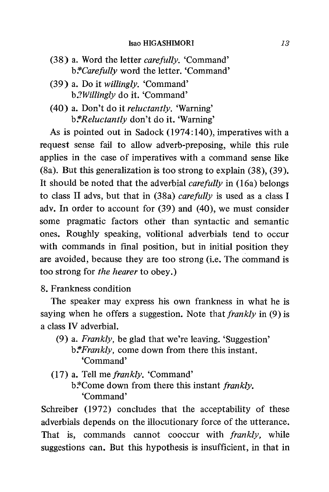#### Isao HIGASHIMORI 13

- (38) a. Word the letter carefully. 'Command' b.\**Carefully* word the letter. 'Command'
- (39) a. Do it willingly. 'Command' b.?Willingly do it. 'Command'
- (40) a. Don't do it reluctantly. 'Warning' b.\*Reluctantly don't do it. 'Warning'

As is pointed out in Sadock (1974:140), imperatives with a request sense fail to allow adverb-preposing, while this rule applies in the case of imperatives with a command sense like (8a). But this generalization is too strong to explain (38), (39). It should be noted that the adverbial *carefully* in (16a) belongs to class II advs, but that in (38a) carefully is used as a class I adv. In order to account for (39) and (40), we must consider some pragmatic factors other than syntactic and semantic ones. Roughly speaking, volitional adverbials tend to occur with commands in final position, but in initial position they are avoided, because they are too strong (i.e. The command is too strong for the hearer to obey.)

## 8. Frankness condition

The speaker may express his own frankness in what he is saying when he offers a suggestion. Note that *frankly* in (9) is a class IV adverbial.

- (9) a. Frankly, be glad that we're leaving. 'Suggestion' b.\**Frankly*, come down from there this instant. `Command'
- (17) a. Tell me frankly. 'Command'  $b$ <sup>\*</sup>Come down from there this instant *frankly*. `Command'

Schreiber (1972) concludes that the acceptability of these adverbials depends on the illocutionary force of the utterance. That is, commands cannot cooccur with frankly, while suggestions can. But this hypothesis is insufficient, in that in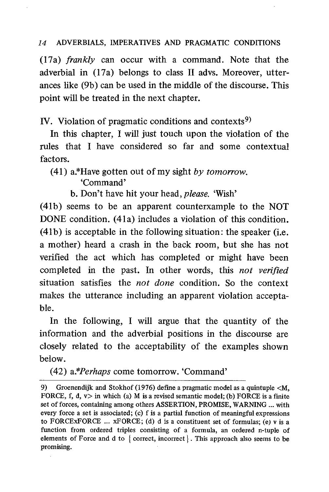(17a) frankly can occur with a command. Note that the adverbial in (17a) belongs to class II advs. Moreover, utterances like (9b) can be used in the middle of the discourse. This point will be treated in the next chapter.

IV. Violation of pragmatic conditions and contexts<sup>9)</sup>

In this chapter, I will just touch upon the violation of the rules that I have considered so far and some contextual factors.

(41) a.\*Have gotten out of my sight by tomorrow.<br>
'Command'

b. Don't have hit your head, *please*. 'Wish'

(41b) seems to be an apparent counterxample to the NOT DONE condition. (41a) includes a violation of this condition. (41b) is acceptable in the following situation: the speaker (i.e. a mother) heard a crash in the back room, but she has not verified the act which has completed or might have been completed in the past. In other words, this not verified situation satisfies the *not done* condition. So the context makes the utterance including an apparent violation acceptable.

In the following, I will argue that the quantity of the information and the adverbial positions in the discourse are closely related to the acceptability of the examples shown below.

(42) a.\*Perhaps come tomorrow. 'Command'

<sup>9)</sup> Groenendijk and Stokhof (1976) define a pragmatic model as a quintuple <M, FORCE, f, d,  $v >$  in which (a) M is a revised semantic model; (b) FORCE is a finite set of forces, containing among others ASSERTION, PROMISE, WARNING ... with every force a set is associated; (c) f is a partial function of meaningful expressions to FORCEXFORCE  $\ldots$  xFORCE; (d) d is a constituent set of formulas; (e) v is a function from ordered triples consisting of a formula, an ordered n-tuple of elements of Force and d to  $\{$  correct, incorrect  $\}$ . This approach also seems to be promising.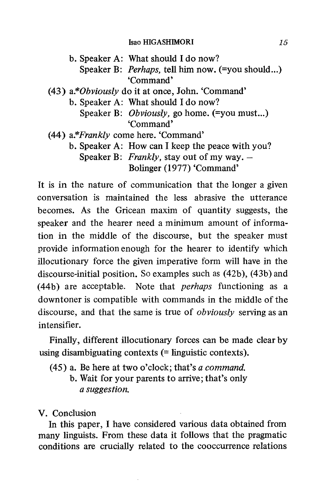#### Isao HIGASHIMORI 15

b. Speaker A: What should I do now? Speaker B: *Perhaps*, tell him now. (=you should...) `Command' (43) a.\*Obviously do it at once, John. 'Command' b. Speaker A: What should I do now? Speaker B: *Obviously*, go home. (=you must...) `Command' (44) a.\*Frankly come here. 'Command' b. Speaker A: How can I keep the peace with you? Speaker B: Frankly, stay out of my way.  $-$ Bolinger (1977) 'Command'

It is in the nature of communication that the longer a given conversation is maintained the less abrasive the utterance becomes. As the Gricean maxim of quantity suggests, the speaker and the hearer need a minimum amount of information in the middle of the discourse, but the speaker must provide information enough for the hearer to identify which illocutionary force the given imperative form will have in the discourse-initial position. So examples such as (42b), (43b) and (44b) are acceptable. Note that *perhaps* functioning as a downtoner is compatible with commands in the middle of the discourse, and that the same is true of *obviously* serving as an intensifier.

 Finally, different illocutionary forces can be made clear by using disambiguating contexts (= linguistic contexts).

(45) a. Be here at two o'clock; that's a command.

b. Wait for your parents to arrive; that's only a suggestion.

V. Conclusion

In this paper, I have considered various data obtained from many linguists. From these data it follows that the pragmatic conditions are crucially related to the cooccurrence relations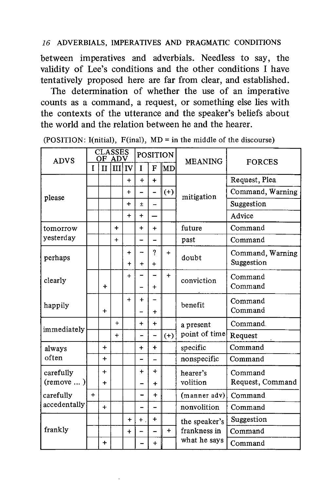between imperatives and adverbials. Needless to say, the validity of Lee's conditions and the other conditions I have tentatively proposed here are far from clear, and established.

The determination of whether the use of an imperative counts as a command, a request, or something else lies with the contexts of the utterance and the speaker's beliefs about the world and the relation between he and the hearer.

| <b>ADVS</b>                  | <b>CLASSES</b><br>OF ADV |              |     | <b>POSITION</b> |                          |                          | <b>MEANING</b> | <b>FORCES</b>                                 |                  |
|------------------------------|--------------------------|--------------|-----|-----------------|--------------------------|--------------------------|----------------|-----------------------------------------------|------------------|
|                              | T                        | $\mathbf{H}$ | ĦП  | IV              | $\mathbf{I}$             | F                        | ∥MD            |                                               |                  |
| please                       |                          |              |     | $\ddot{}$       | $\ddotmark$              | ÷                        |                | mitigation                                    | Request, Plea    |
|                              |                          |              |     | $\ddot{}$       | ۳                        | $\overline{\phantom{0}}$ | $(+)$          |                                               | Command, Warning |
|                              |                          |              |     | ÷               | Ŧ                        |                          |                |                                               | Suggestion       |
|                              |                          |              |     | ÷               | $\ddot{}$                |                          |                |                                               | Advice           |
| tomorrow                     |                          |              | 4   |                 | $\ddot{}$                | $+$                      |                | future                                        | Command          |
| yesterday                    |                          |              | $+$ |                 |                          |                          |                | past                                          | Command          |
| perhaps                      |                          |              |     | 4               |                          | 7                        | $+$            | doubt                                         | Command, Warning |
|                              |                          |              |     | $\ddot{}$       | $\ddot{}$                | $\ddot{}$                |                |                                               | Suggestion       |
| clearly                      |                          |              |     | $+$             |                          |                          | $+$            | conviction                                    | Command          |
|                              |                          | ÷            |     |                 | -                        | $+$                      |                |                                               | Command          |
| happily                      |                          |              |     | $+$             | $\ddotmark$              |                          |                | benefit                                       | Command          |
|                              |                          | $\ddot{}$    |     |                 |                          | $+$                      |                |                                               | Command          |
| immediately                  |                          |              | $+$ |                 | $+$                      | $+$                      |                | a present<br>point of time                    | Command.         |
|                              |                          |              | $+$ |                 | $\overline{\phantom{0}}$ | -                        | $(+)$          |                                               | Request          |
| always<br>often              |                          | $+$          |     |                 | $\ddotmark$              | $\ddot{}$                |                | specific                                      | Command          |
|                              |                          | $\ddot{}$    |     |                 |                          |                          |                | nonspecific                                   | Command          |
| carefully<br>$($ remove $) $ |                          | $+$          |     |                 | $\ddot{}$                | $\ddotmark$              |                | hearer's                                      | Command          |
|                              |                          | $\ddot{}$    |     |                 |                          | $\ddot{}$                |                | volition                                      | Request, Command |
| carefully<br>accedentally    | $+$                      |              |     |                 |                          | $\ddotmark$              |                | (manner adv)                                  | Command          |
|                              |                          | $\ddot{}$    |     |                 |                          |                          |                | nonvolition                                   | Command          |
| frankly                      |                          |              |     | $\ddot{}$       | $+$                      | $\ddot{}$                |                | the speaker's<br>frankness in<br>what he says | Suggestion       |
|                              |                          |              |     | $\ddot{}$       |                          |                          | $+$            |                                               | Command          |
|                              |                          | ٠            |     |                 |                          | ÷                        |                |                                               | Command          |

(POSITION: I(nitial), F(inal), MD = in the middle of the discourse)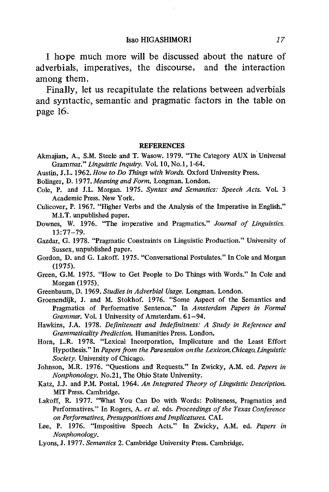I hope much more will be discussed about the nature of adverbials, imperatives, the discourse, and the interaction among them.

Finally, let us recapitulate the relations between adverbials and syntactic, semantic and pragmatic factors in the table on page 16.

#### **REFERENCES**

- Akmajian, A., S.M. Steele and T. Wasow. 1979. "The Category AUX in Universal Grammar." Linguistic Inquiry. Vol. 10, No.1, 1-64.
- Austin, J.L. 1962. How to Do Things with Words. Oxford University Press.
- Bolinger, D. 1977. Meaning and Form. Longman. London.
- Cole, P. and J.L. Morgan. 1975. Syntax and Semantics: Speech Acts. Vol. 3 Academic Press. New York.
- Culicover, P. 1967. "Higher Verbs and the Analysis of the Imperative in English." M.I.T. unpublished paper.
- Downes, W. 1976. "The imperative and Pragmatics." Journal of Linguistics. 13:77-79.
- Gazdar, G. 1978. "Pragmatic Constraints on Linguistic Production." University of Sussex, unpublished paper.
- Gordon, D. and G. Lakoff. 1975. "Conversational Postulates." In Cole and Morgan (1975).
- Green, G.M. 1975. "How to Get People to Do Things with Words." In Cole and Morgan (1975).
- Greenbaum, D. 1969. Studies in Adverbial Usage. Longman. London.
- Groenendijk, J. and M. Stokhof. 1976. "Some Aspect of the Semantics and Pragmatics of Performative Sentence." In Amsterdam Papers in Formal Grammar. Vol. 1 University of Amsterdam. 61-94.
- Hawkins, J.A. 1978. Definiteness and Indefinitness: A Study in Reference and Grammaticality Prediction. Humanities Press. London.
- Horn, L.R. 1978. "Lexical Incorporation, Implicature and the Least Effort Hypothesis." In Papers from the Parasession on the Lexicon, Chicago, Linguistic Society. University of Chicago.
- Johnson, M.R. 1976. "Questions and Requests." In Zwicky, A.M. ed. Papers in Nonphonology. No.21, The Ohio State University.
- Katz, J.J. and P.M. Postal. 1964. An Integrated Theory of Linguistic Description. MIT Press. Cambridge.
- Lakoff, R. 1977. "What You Can Do with Words: Politeness, Pragmatics and Performatives." In Rogers, A. et al. eds. Proceedings of the Texas Conference on Performatives, Presuppositions and Implicatures. CAL
- Lee, P. 1976. "Impositive Speech Acts." In Zwicky, A.M. ed. Papers in Nonphonology.
- Lyons, J. 1977. Semantics 2. Cambridge University Press. Cambridge.